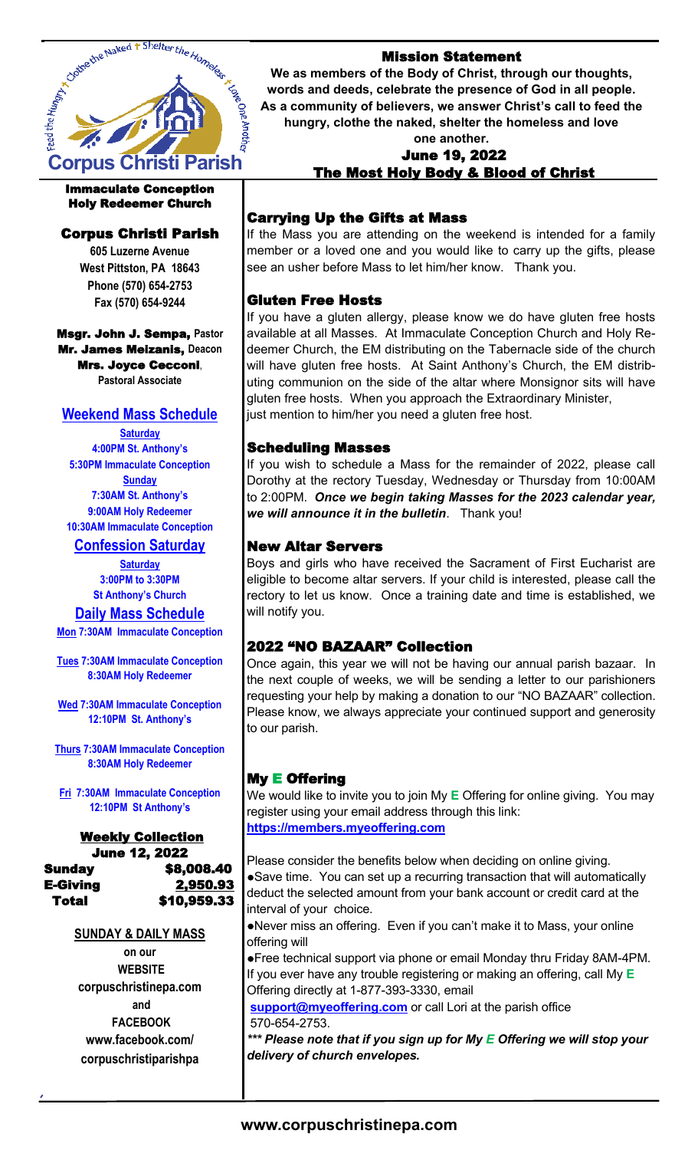

### Immaculate Conception Holy Redeemer Church

## Corpus Christi Parish

**605 Luzerne Avenue West Pittston, PA 18643 Phone (570) 654-2753 Fax (570) 654-9244**

Msgr. John J. Sempa, **Pastor** Mr. James Meizanis, **Deacon** Mrs. Joyce Cecconi, **Pastoral Associate**

## **Weekend Mass Schedule**

**Saturday 4:00PM St. Anthony's 5:30PM Immaculate Conception Sunday 7:30AM St. Anthony's 9:00AM Holy Redeemer 10:30AM Immaculate Conception**

## **Confession Saturday**

**Saturday 3:00PM to 3:30PM St Anthony's Church**

## **Daily Mass Schedule**

**Mon 7:30AM Immaculate Conception**

**Tues 7:30AM Immaculate Conception 8:30AM Holy Redeemer** 

**Wed 7:30AM Immaculate Conception 12:10PM St. Anthony's**

**Thurs 7:30AM Immaculate Conception 8:30AM Holy Redeemer**

**Fri 7:30AM Immaculate Conception 12:10PM St Anthony's**

#### Weekly Collection June 12, 2022 Sunday \$8,008.40 E-Giving 2,950.93 Total \$10,959.33

## **SUNDAY & DAILY MASS**

**on our WEBSITE corpuschristinepa.com and FACEBOOK www.facebook.com/ corpuschristiparishpa**

## Mission Statement

**We as members of the Body of Christ, through our thoughts, words and deeds, celebrate the presence of God in all people. As a community of believers, we answer Christ's call to feed the hungry, clothe the naked, shelter the homeless and love** 

### **one another.**  June 19, 2022 The Most Holy Body & Blood of Christ

## Carrying Up the Gifts at Mass

If the Mass you are attending on the weekend is intended for a family member or a loved one and you would like to carry up the gifts, please see an usher before Mass to let him/her know. Thank you.

## Gluten Free Hosts

If you have a gluten allergy, please know we do have gluten free hosts available at all Masses. At Immaculate Conception Church and Holy Redeemer Church, the EM distributing on the Tabernacle side of the church will have gluten free hosts. At Saint Anthony's Church, the EM distributing communion on the side of the altar where Monsignor sits will have gluten free hosts. When you approach the Extraordinary Minister, just mention to him/her you need a gluten free host.

## Scheduling Masses

If you wish to schedule a Mass for the remainder of 2022, please call Dorothy at the rectory Tuesday, Wednesday or Thursday from 10:00AM to 2:00PM. *Once we begin taking Masses for the 2023 calendar year, we will announce it in the bulletin*. Thank you!

## New Altar Servers

Boys and girls who have received the Sacrament of First Eucharist are eligible to become altar servers. If your child is interested, please call the rectory to let us know. Once a training date and time is established, we will notify you.

## 2022 "NO BAZAAR" Collection

Once again, this year we will not be having our annual parish bazaar. In the next couple of weeks, we will be sending a letter to our parishioners requesting your help by making a donation to our "NO BAZAAR" collection. Please know, we always appreciate your continued support and generosity to our parish.

## My E Offering

We would like to invite you to join My **E** Offering for online giving. You may register using your email address through this link: **https://members.myeoffering.com**

Please consider the benefits below when deciding on online giving. ●Save time. You can set up a recurring transaction that will automatically deduct the selected amount from your bank account or credit card at the interval of your choice.

●Never miss an offering. Even if you can't make it to Mass, your online offering will

●Free technical support via phone or email Monday thru Friday 8AM-4PM. If you ever have any trouble registering or making an offering, call My **E**  Offering directly at 1-877-393-3330, email

**support@myeoffering.com** or call Lori at the parish office 570-654-2753.

*\*\*\* Please note that if you sign up for My E Offering we will stop your delivery of church envelopes.*